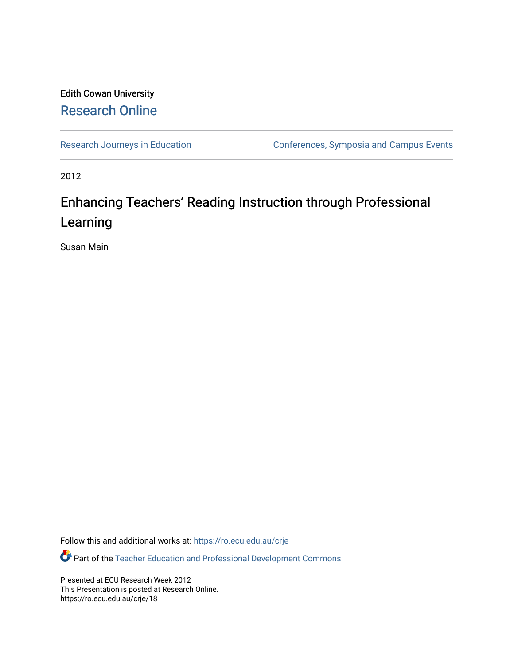#### Edith Cowan University [Research Online](https://ro.ecu.edu.au/)

[Research Journeys in Education](https://ro.ecu.edu.au/crje) **Conferences**, Symposia and Campus Events

2012

#### Enhancing Teachers' Reading Instruction through Professional Learning

Susan Main

Follow this and additional works at: [https://ro.ecu.edu.au/crje](https://ro.ecu.edu.au/crje?utm_source=ro.ecu.edu.au%2Fcrje%2F18&utm_medium=PDF&utm_campaign=PDFCoverPages) 

Part of the [Teacher Education and Professional Development Commons](http://network.bepress.com/hgg/discipline/803?utm_source=ro.ecu.edu.au%2Fcrje%2F18&utm_medium=PDF&utm_campaign=PDFCoverPages) 

Presented at ECU Research Week 2012 This Presentation is posted at Research Online. https://ro.ecu.edu.au/crje/18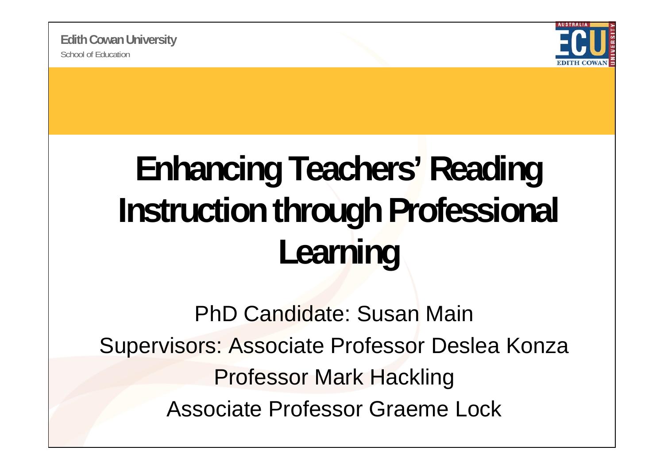

# **Enhancing Teachers' Reading Instruction through Professional Learning**

PhD Candidate: Susan MainSupervisors: Associate Professor Deslea Konza Professor Mark Hackling Associate Professor Graeme Lock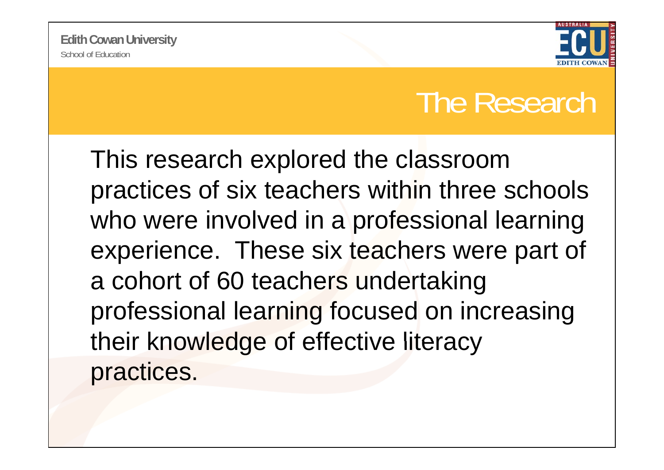

#### The Research

This research explored the classroom practices of six teachers within three schools who were involved in a professional learning experience. These six teachers were part of <sup>a</sup> cohort of 60 teachers undertaking professional learning focused on increasing their knowledge of effective literacy practices.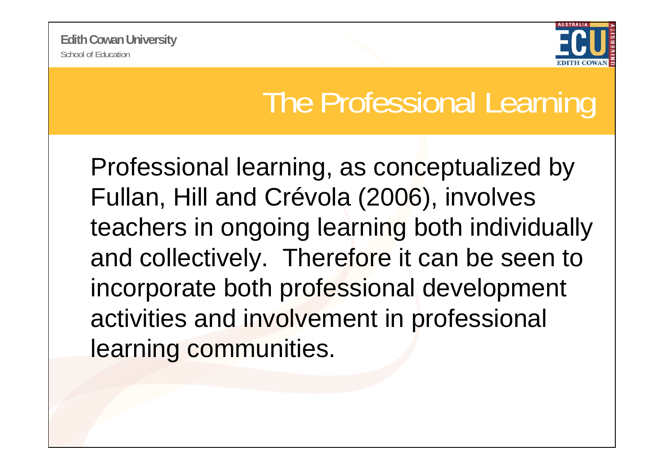

#### The Professional Learning

Professional learning, as conceptualized by Fullan, Hill and Crévola (2006), involves teachers in ongoing learning both individually and collectively. Therefore it can be seen to incorporate both professional development activities and involvement in professional learning communities.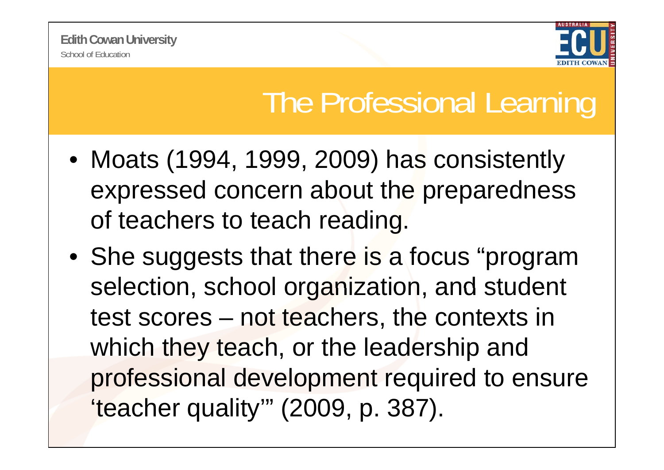

### The Professional Learning

- Moats (1994, 1999, 2009) has consistently expressed concern about the preparedness of teachers to teach reading.
- She suggests that there is a focus "program selection, school organization, and student test scores – not teachers, the contexts in which they teach, or the leadership and professional development required to ensure 'teacher quality'" (2009, p. 387).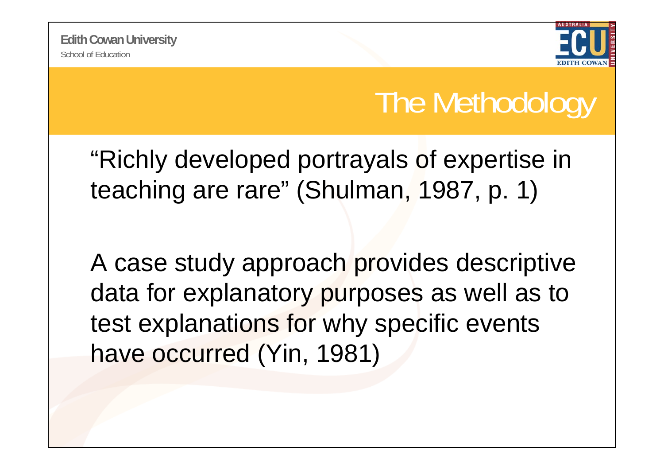

## The Methodology

"Richly developed portrayals of expertise in teaching are rare" (Shulman, 1987, p. 1)

A case study approach provides descriptive data for explanatory purposes as well as to test explanations for why specific events have occurred (Yin, 1981)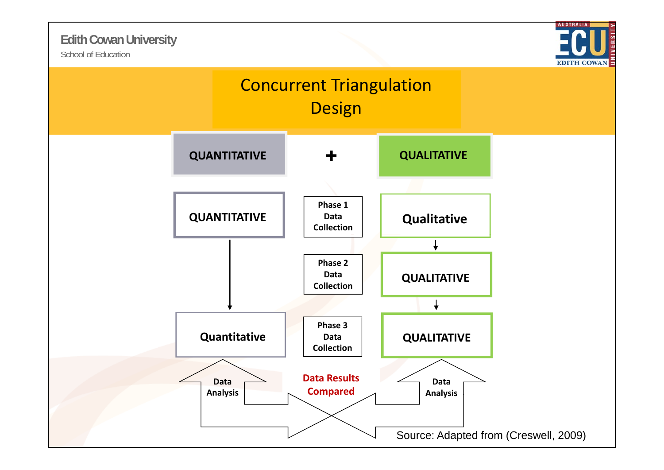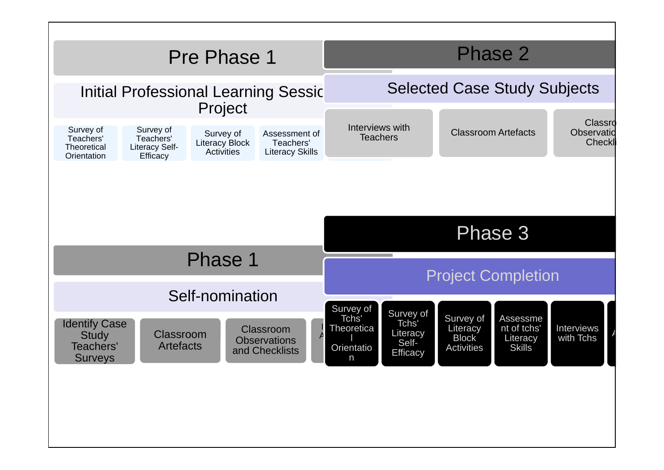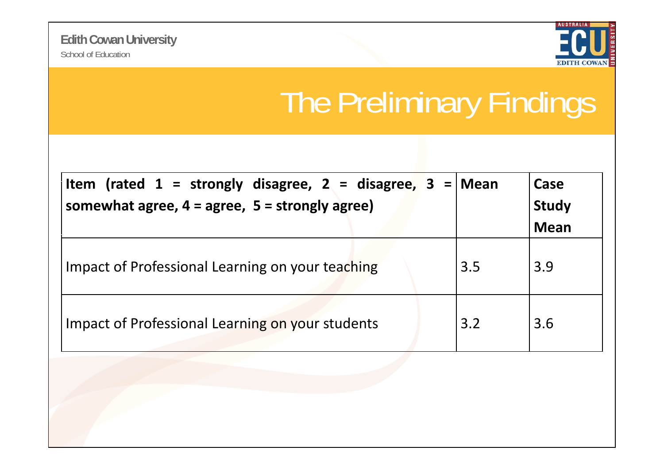

# The Preliminary Findings

| Item (rated 1 = strongly disagree, 2 = disagree, 3 = Mean<br>somewhat agree, $4 = agree$ , $5 = strongly agree$ ) |     | Case<br><b>Study</b><br><b>Mean</b> |
|-------------------------------------------------------------------------------------------------------------------|-----|-------------------------------------|
| Impact of Professional Learning on your teaching                                                                  | 3.5 | 3.9                                 |
| Impact of Professional Learning on your students                                                                  | 3.2 | 3.6                                 |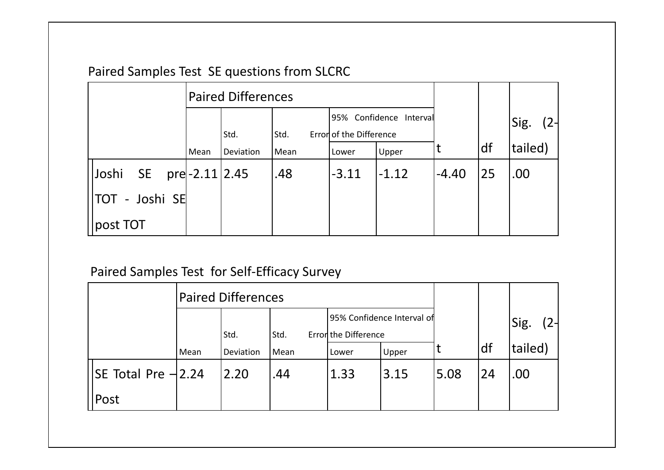#### Paired Samples Test SE questions from SLCRC

|                           | <b>Paired Differences</b> |           |      |                         |         |         |    |         |
|---------------------------|---------------------------|-----------|------|-------------------------|---------|---------|----|---------|
|                           |                           |           |      | 95% Confidence Interval |         |         |    | Sig.    |
|                           |                           | Std.      | Std. | Error of the Difference |         |         |    |         |
|                           | Mean                      | Deviation | Mean | Lower                   | Upper   |         | df | tailed) |
| Joshi<br>SE pre-2.11 2.45 |                           |           | .48  | $-3.11$                 | $-1.12$ | $-4.40$ | 25 | .00     |
| <b>TOT - Joshi SE</b>     |                           |           |      |                         |         |         |    |         |
| post TOT                  |                           |           |      |                         |         |         |    |         |

#### Paired Samples Test for Self‐Efficacy Survey

|                          | <b>Paired Differences</b> |           |      |                      |                            |      |    |         |
|--------------------------|---------------------------|-----------|------|----------------------|----------------------------|------|----|---------|
|                          |                           | Std.      | Std. | Error the Difference | 95% Confidence Interval of |      |    | Sig.    |
|                          | Mean                      | Deviation | Mean | Lower                | Upper                      |      | df | tailed) |
| $ SE$ Total Pre $-12.24$ |                           | 2.20      | .44  | 1.33                 | 3.15                       | 5.08 | 24 | .00     |
| Post                     |                           |           |      |                      |                            |      |    |         |